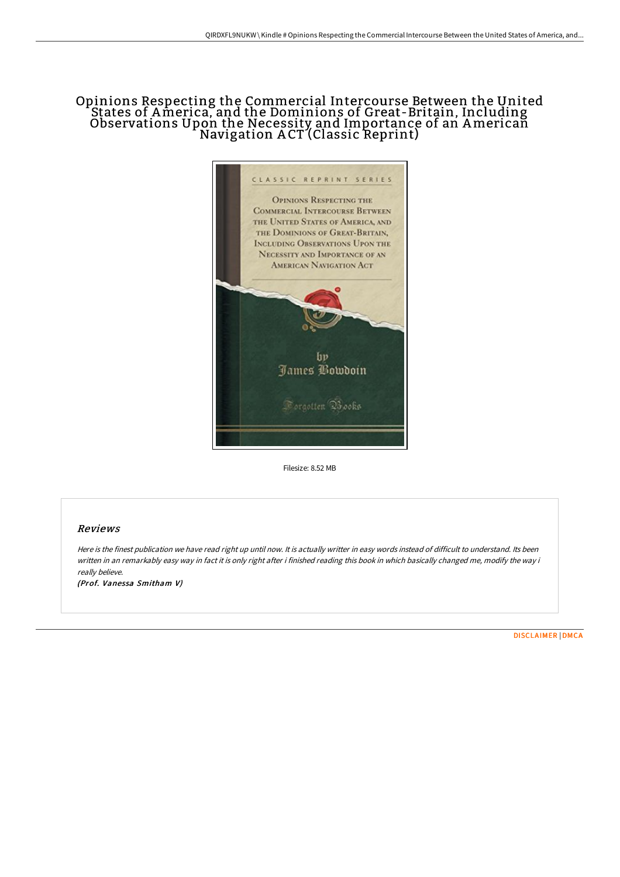## Opinions Respecting the Commercial Intercourse Between the United States of America, and the Dominions of Great-Britain, Including<br>Observations Upon the Necessity and Importance of an American Navigation A CT (Classic Reprint)



Filesize: 8.52 MB

## Reviews

Here is the finest publication we have read right up until now. It is actually writter in easy words instead of difficult to understand. Its been written in an remarkably easy way in fact it is only right after i finished reading this book in which basically changed me, modify the way i really believe.

(Prof. Vanessa Smitham V)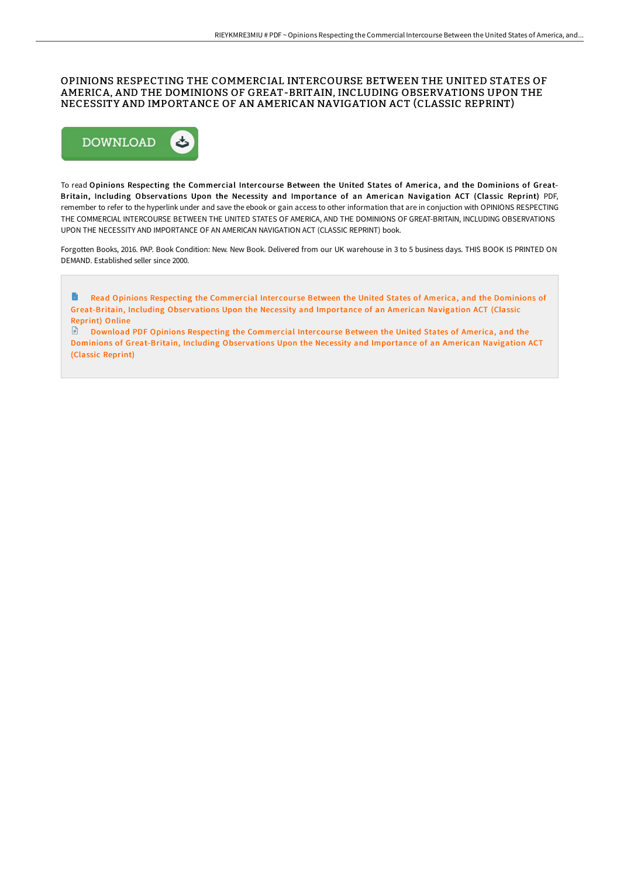## OPINIONS RESPECTING THE COMMERCIAL INTERCOURSE BETWEEN THE UNITED STATES OF AMERICA, AND THE DOMINIONS OF GREAT-BRITAIN, INCLUDING OBSERVATIONS UPON THE NECESSITY AND IMPORTANCE OF AN AMERICAN NAVIGATION ACT (CLASSIC REPRINT)



To read Opinions Respecting the Commercial Intercourse Between the United States of America, and the Dominions of Great-Britain, Including Observations Upon the Necessity and Importance of an American Navigation ACT (Classic Reprint) PDF, remember to refer to the hyperlink under and save the ebook or gain access to other information that are in conjuction with OPINIONS RESPECTING THE COMMERCIAL INTERCOURSE BETWEEN THE UNITED STATES OF AMERICA, AND THE DOMINIONS OF GREAT-BRITAIN, INCLUDING OBSERVATIONS UPON THE NECESSITY AND IMPORTANCE OF AN AMERICAN NAVIGATION ACT (CLASSIC REPRINT) book.

Forgotten Books, 2016. PAP. Book Condition: New. New Book. Delivered from our UK warehouse in 3 to 5 business days. THIS BOOK IS PRINTED ON DEMAND. Established seller since 2000.

B Read Opinions Respecting the Commercial Intercourse Between the United States of America, and the Dominions of [Great-Britain,](http://albedo.media/opinions-respecting-the-commercial-intercourse-b-1.html) Including Obser vations Upon the Necessity and Importance of an American Navigation ACT (Classic Reprint) Online

Download PDF Opinions Respecting the Commer cial Inter cour se Between the United States of America, and the Dominions of [Great-Britain,](http://albedo.media/opinions-respecting-the-commercial-intercourse-b-1.html) Including Observations Upon the Necessity and Importance of an American Navigation ACT (Classic Reprint)